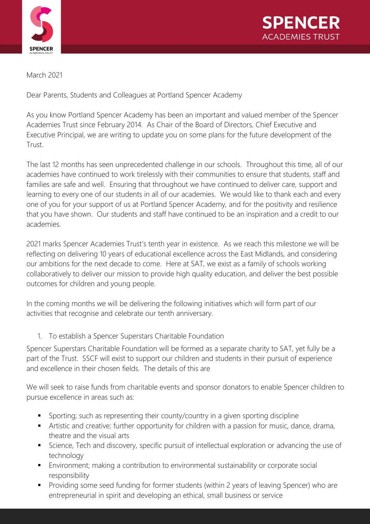



March 2021

Dear Parents, Students and Colleagues at Portland Spencer Academy

As you know Portland Spencer Academy has been an important and valued member of the Spencer Academies Trust since February 2014. As Chair of the Board of Directors, Chief Executive and Executive Principal, we are writing to update you on some plans for the future development of the Trust.

The last 12 months has seen unprecedented challenge in our schools. Throughout this time, all of our academies have continued to work tirelessly with their communities to ensure that students, staff and families are safe and well. Ensuring that throughout we have continued to deliver care, support and learning to every one of our students in all of our academies. We would like to thank each and every one of you for your support of us at Portland Spencer Academy, and for the positivity and resilience that you have shown. Our students and staff have continued to be an inspiration and a credit to our academies.

2021 marks Spencer Academies Trust's tenth year in existence. As we reach this milestone we will be reflecting on delivering 10 years of educational excellence across the East Midlands, and considering our ambitions for the next decade to come. Here at SAT, we exist as a family of schools working collaboratively to deliver our mission to provide high quality education, and deliver the best possible outcomes for children and young people.

In the coming months we will be delivering the following initiatives which will form part of our activities that recognise and celebrate our tenth anniversary.

1. To establish a Spencer Superstars Charitable Foundation

Spencer Superstars Charitable Foundation will be formed as a separate charity to SAT, yet fully be a part of the Trust. SSCF will exist to support our children and students in their pursuit of experience and excellence in their chosen fields. The details of this are

We will seek to raise funds from charitable events and sponsor donators to enable Spencer children to pursue excellence in areas such as:

- Sporting; such as representing their county/country in a given sporting discipline
- Artistic and creative; further opportunity for children with a passion for music, dance, drama, theatre and the visual arts
- Science, Tech and discovery, specific pursuit of intellectual exploration or advancing the use of technology
- Environment; making a contribution to environmental sustainability or corporate social responsibility
- Providing some seed funding for former students (within 2 years of leaving Spencer) who are entrepreneurial in spirit and developing an ethical, small business or service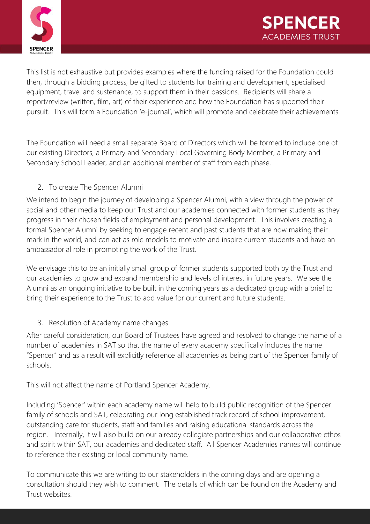

This list is not exhaustive but provides examples where the funding raised for the Foundation could then, through a bidding process, be gifted to students for training and development, specialised equipment, travel and sustenance, to support them in their passions. Recipients will share a report/review (written, film, art) of their experience and how the Foundation has supported their pursuit. This will form a Foundation 'e-journal', which will promote and celebrate their achievements.

The Foundation will need a small separate Board of Directors which will be formed to include one of our existing Directors, a Primary and Secondary Local Governing Body Member, a Primary and Secondary School Leader, and an additional member of staff from each phase.

## 2. To create The Spencer Alumni

We intend to begin the journey of developing a Spencer Alumni, with a view through the power of social and other media to keep our Trust and our academies connected with former students as they progress in their chosen fields of employment and personal development. This involves creating a formal Spencer Alumni by seeking to engage recent and past students that are now making their mark in the world, and can act as role models to motivate and inspire current students and have an ambassadorial role in promoting the work of the Trust.

We envisage this to be an initially small group of former students supported both by the Trust and our academies to grow and expand membership and levels of interest in future years. We see the Alumni as an ongoing initiative to be built in the coming years as a dedicated group with a brief to bring their experience to the Trust to add value for our current and future students.

## 3. Resolution of Academy name changes

After careful consideration, our Board of Trustees have agreed and resolved to change the name of a number of academies in SAT so that the name of every academy specifically includes the name "Spencer" and as a result will explicitly reference all academies as being part of the Spencer family of schools.

This will not affect the name of Portland Spencer Academy.

Including 'Spencer' within each academy name will help to build public recognition of the Spencer family of schools and SAT, celebrating our long established track record of school improvement, outstanding care for students, staff and families and raising educational standards across the region. Internally, it will also build on our already collegiate partnerships and our collaborative ethos and spirit within SAT, our academies and dedicated staff. All Spencer Academies names will continue to reference their existing or local community name.

To communicate this we are writing to our stakeholders in the coming days and are opening a consultation should they wish to comment. The details of which can be found on the Academy and Trust websites.